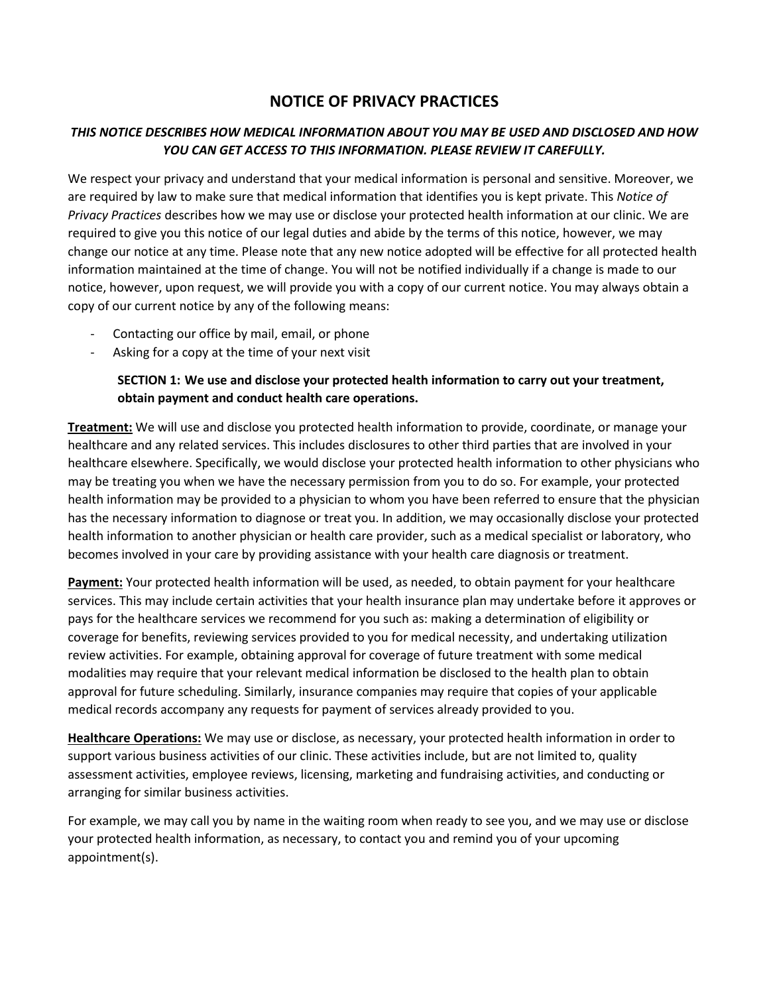# **NOTICE OF PRIVACY PRACTICES**

## *THIS NOTICE DESCRIBES HOW MEDICAL INFORMATION ABOUT YOU MAY BE USED AND DISCLOSED AND HOW YOU CAN GET ACCESS TO THIS INFORMATION. PLEASE REVIEW IT CAREFULLY.*

We respect your privacy and understand that your medical information is personal and sensitive. Moreover, we are required by law to make sure that medical information that identifies you is kept private. This *Notice of Privacy Practices* describes how we may use or disclose your protected health information at our clinic. We are required to give you this notice of our legal duties and abide by the terms of this notice, however, we may change our notice at any time. Please note that any new notice adopted will be effective for all protected health information maintained at the time of change. You will not be notified individually if a change is made to our notice, however, upon request, we will provide you with a copy of our current notice. You may always obtain a copy of our current notice by any of the following means:

- Contacting our office by mail, email, or phone
- Asking for a copy at the time of your next visit

**SECTION 1: We use and disclose your protected health information to carry out your treatment, obtain payment and conduct health care operations.** 

**Treatment:** We will use and disclose you protected health information to provide, coordinate, or manage your healthcare and any related services. This includes disclosures to other third parties that are involved in your healthcare elsewhere. Specifically, we would disclose your protected health information to other physicians who may be treating you when we have the necessary permission from you to do so. For example, your protected health information may be provided to a physician to whom you have been referred to ensure that the physician has the necessary information to diagnose or treat you. In addition, we may occasionally disclose your protected health information to another physician or health care provider, such as a medical specialist or laboratory, who becomes involved in your care by providing assistance with your health care diagnosis or treatment.

**Payment:** Your protected health information will be used, as needed, to obtain payment for your healthcare services. This may include certain activities that your health insurance plan may undertake before it approves or pays for the healthcare services we recommend for you such as: making a determination of eligibility or coverage for benefits, reviewing services provided to you for medical necessity, and undertaking utilization review activities. For example, obtaining approval for coverage of future treatment with some medical modalities may require that your relevant medical information be disclosed to the health plan to obtain approval for future scheduling. Similarly, insurance companies may require that copies of your applicable medical records accompany any requests for payment of services already provided to you.

**Healthcare Operations:** We may use or disclose, as necessary, your protected health information in order to support various business activities of our clinic. These activities include, but are not limited to, quality assessment activities, employee reviews, licensing, marketing and fundraising activities, and conducting or arranging for similar business activities.

For example, we may call you by name in the waiting room when ready to see you, and we may use or disclose your protected health information, as necessary, to contact you and remind you of your upcoming appointment(s).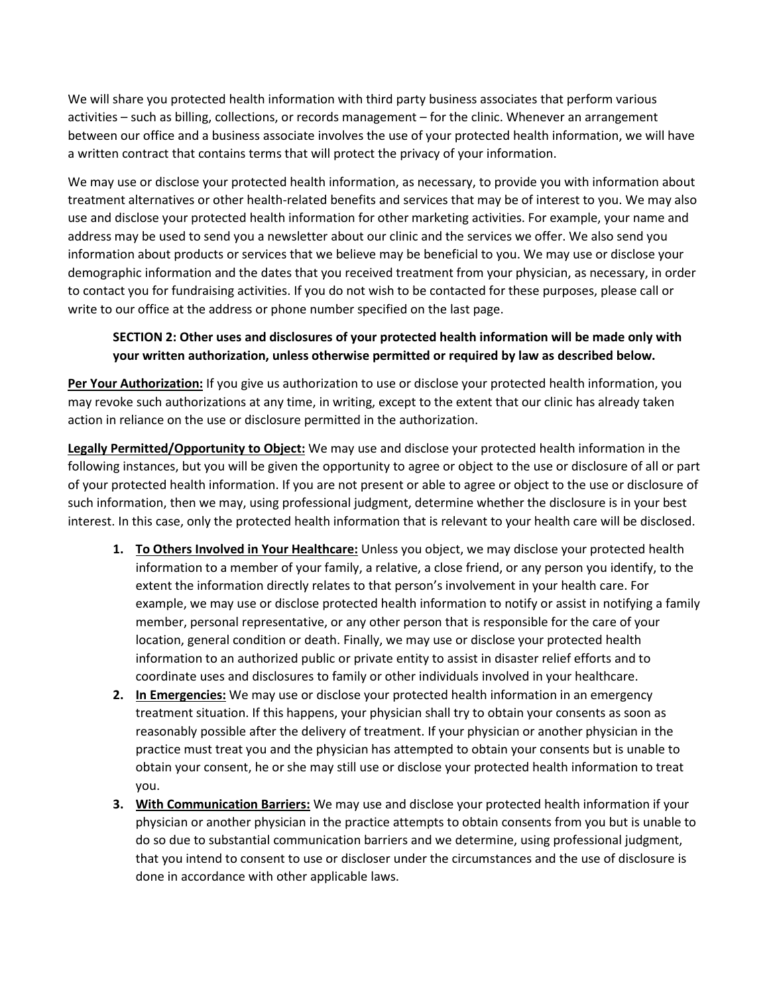We will share you protected health information with third party business associates that perform various activities – such as billing, collections, or records management – for the clinic. Whenever an arrangement between our office and a business associate involves the use of your protected health information, we will have a written contract that contains terms that will protect the privacy of your information.

We may use or disclose your protected health information, as necessary, to provide you with information about treatment alternatives or other health-related benefits and services that may be of interest to you. We may also use and disclose your protected health information for other marketing activities. For example, your name and address may be used to send you a newsletter about our clinic and the services we offer. We also send you information about products or services that we believe may be beneficial to you. We may use or disclose your demographic information and the dates that you received treatment from your physician, as necessary, in order to contact you for fundraising activities. If you do not wish to be contacted for these purposes, please call or write to our office at the address or phone number specified on the last page.

## **SECTION 2: Other uses and disclosures of your protected health information will be made only with your written authorization, unless otherwise permitted or required by law as described below.**

**Per Your Authorization:** If you give us authorization to use or disclose your protected health information, you may revoke such authorizations at any time, in writing, except to the extent that our clinic has already taken action in reliance on the use or disclosure permitted in the authorization.

**Legally Permitted/Opportunity to Object:** We may use and disclose your protected health information in the following instances, but you will be given the opportunity to agree or object to the use or disclosure of all or part of your protected health information. If you are not present or able to agree or object to the use or disclosure of such information, then we may, using professional judgment, determine whether the disclosure is in your best interest. In this case, only the protected health information that is relevant to your health care will be disclosed.

- **1. To Others Involved in Your Healthcare:** Unless you object, we may disclose your protected health information to a member of your family, a relative, a close friend, or any person you identify, to the extent the information directly relates to that person's involvement in your health care. For example, we may use or disclose protected health information to notify or assist in notifying a family member, personal representative, or any other person that is responsible for the care of your location, general condition or death. Finally, we may use or disclose your protected health information to an authorized public or private entity to assist in disaster relief efforts and to coordinate uses and disclosures to family or other individuals involved in your healthcare.
- **2. In Emergencies:** We may use or disclose your protected health information in an emergency treatment situation. If this happens, your physician shall try to obtain your consents as soon as reasonably possible after the delivery of treatment. If your physician or another physician in the practice must treat you and the physician has attempted to obtain your consents but is unable to obtain your consent, he or she may still use or disclose your protected health information to treat you.
- **3. With Communication Barriers:** We may use and disclose your protected health information if your physician or another physician in the practice attempts to obtain consents from you but is unable to do so due to substantial communication barriers and we determine, using professional judgment, that you intend to consent to use or discloser under the circumstances and the use of disclosure is done in accordance with other applicable laws.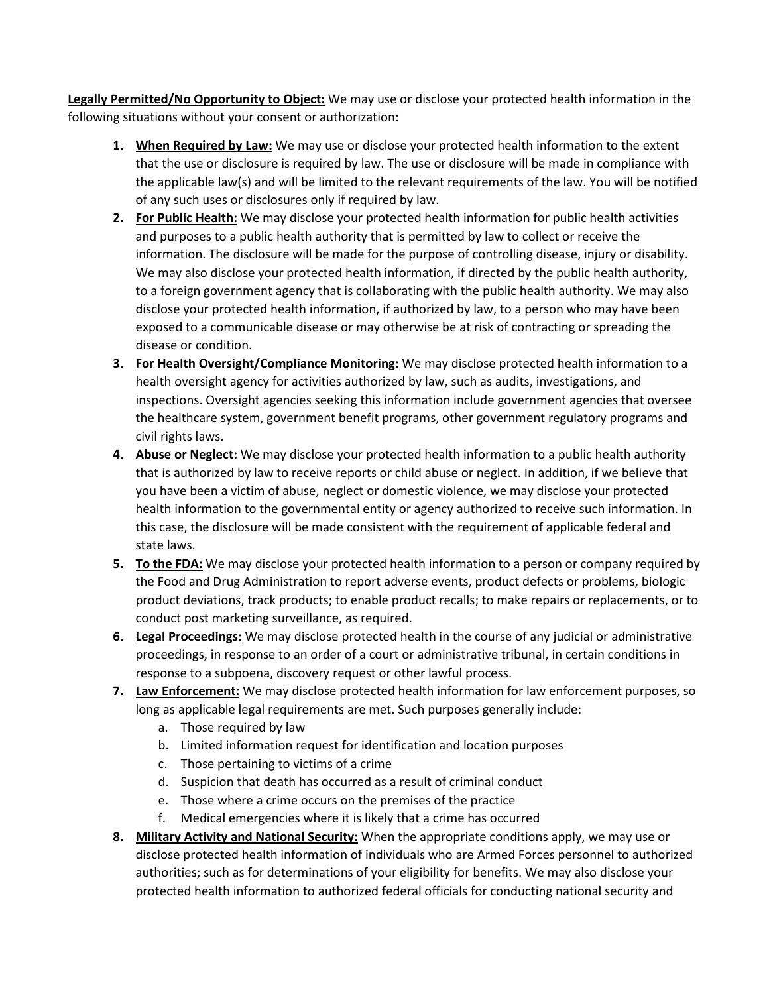**Legally Permitted/No Opportunity to Object:** We may use or disclose your protected health information in the following situations without your consent or authorization:

- **1. When Required by Law:** We may use or disclose your protected health information to the extent that the use or disclosure is required by law. The use or disclosure will be made in compliance with the applicable law(s) and will be limited to the relevant requirements of the law. You will be notified of any such uses or disclosures only if required by law.
- **2. For Public Health:** We may disclose your protected health information for public health activities and purposes to a public health authority that is permitted by law to collect or receive the information. The disclosure will be made for the purpose of controlling disease, injury or disability. We may also disclose your protected health information, if directed by the public health authority, to a foreign government agency that is collaborating with the public health authority. We may also disclose your protected health information, if authorized by law, to a person who may have been exposed to a communicable disease or may otherwise be at risk of contracting or spreading the disease or condition.
- **3. For Health Oversight/Compliance Monitoring:** We may disclose protected health information to a health oversight agency for activities authorized by law, such as audits, investigations, and inspections. Oversight agencies seeking this information include government agencies that oversee the healthcare system, government benefit programs, other government regulatory programs and civil rights laws.
- **4. Abuse or Neglect:** We may disclose your protected health information to a public health authority that is authorized by law to receive reports or child abuse or neglect. In addition, if we believe that you have been a victim of abuse, neglect or domestic violence, we may disclose your protected health information to the governmental entity or agency authorized to receive such information. In this case, the disclosure will be made consistent with the requirement of applicable federal and state laws.
- **5. To the FDA:** We may disclose your protected health information to a person or company required by the Food and Drug Administration to report adverse events, product defects or problems, biologic product deviations, track products; to enable product recalls; to make repairs or replacements, or to conduct post marketing surveillance, as required.
- **6. Legal Proceedings:** We may disclose protected health in the course of any judicial or administrative proceedings, in response to an order of a court or administrative tribunal, in certain conditions in response to a subpoena, discovery request or other lawful process.
- **7. Law Enforcement:** We may disclose protected health information for law enforcement purposes, so long as applicable legal requirements are met. Such purposes generally include:
	- a. Those required by law
	- b. Limited information request for identification and location purposes
	- c. Those pertaining to victims of a crime
	- d. Suspicion that death has occurred as a result of criminal conduct
	- e. Those where a crime occurs on the premises of the practice
	- f. Medical emergencies where it is likely that a crime has occurred
- **8. Military Activity and National Security:** When the appropriate conditions apply, we may use or disclose protected health information of individuals who are Armed Forces personnel to authorized authorities; such as for determinations of your eligibility for benefits. We may also disclose your protected health information to authorized federal officials for conducting national security and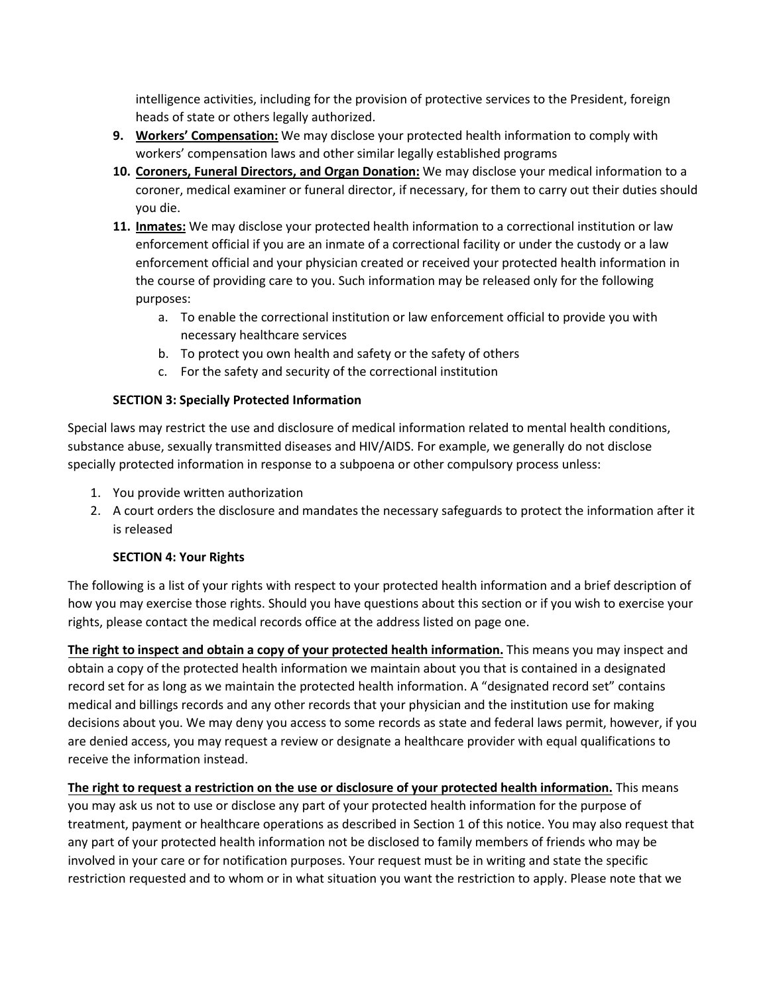intelligence activities, including for the provision of protective services to the President, foreign heads of state or others legally authorized.

- **9. Workers' Compensation:** We may disclose your protected health information to comply with workers' compensation laws and other similar legally established programs
- **10. Coroners, Funeral Directors, and Organ Donation:** We may disclose your medical information to a coroner, medical examiner or funeral director, if necessary, for them to carry out their duties should you die.
- **11. Inmates:** We may disclose your protected health information to a correctional institution or law enforcement official if you are an inmate of a correctional facility or under the custody or a law enforcement official and your physician created or received your protected health information in the course of providing care to you. Such information may be released only for the following purposes:
	- a. To enable the correctional institution or law enforcement official to provide you with necessary healthcare services
	- b. To protect you own health and safety or the safety of others
	- c. For the safety and security of the correctional institution

## **SECTION 3: Specially Protected Information**

Special laws may restrict the use and disclosure of medical information related to mental health conditions, substance abuse, sexually transmitted diseases and HIV/AIDS. For example, we generally do not disclose specially protected information in response to a subpoena or other compulsory process unless:

- 1. You provide written authorization
- 2. A court orders the disclosure and mandates the necessary safeguards to protect the information after it is released

#### **SECTION 4: Your Rights**

The following is a list of your rights with respect to your protected health information and a brief description of how you may exercise those rights. Should you have questions about this section or if you wish to exercise your rights, please contact the medical records office at the address listed on page one.

**The right to inspect and obtain a copy of your protected health information.** This means you may inspect and obtain a copy of the protected health information we maintain about you that is contained in a designated record set for as long as we maintain the protected health information. A "designated record set" contains medical and billings records and any other records that your physician and the institution use for making decisions about you. We may deny you access to some records as state and federal laws permit, however, if you are denied access, you may request a review or designate a healthcare provider with equal qualifications to receive the information instead.

**The right to request a restriction on the use or disclosure of your protected health information.** This means you may ask us not to use or disclose any part of your protected health information for the purpose of treatment, payment or healthcare operations as described in Section 1 of this notice. You may also request that any part of your protected health information not be disclosed to family members of friends who may be involved in your care or for notification purposes. Your request must be in writing and state the specific restriction requested and to whom or in what situation you want the restriction to apply. Please note that we